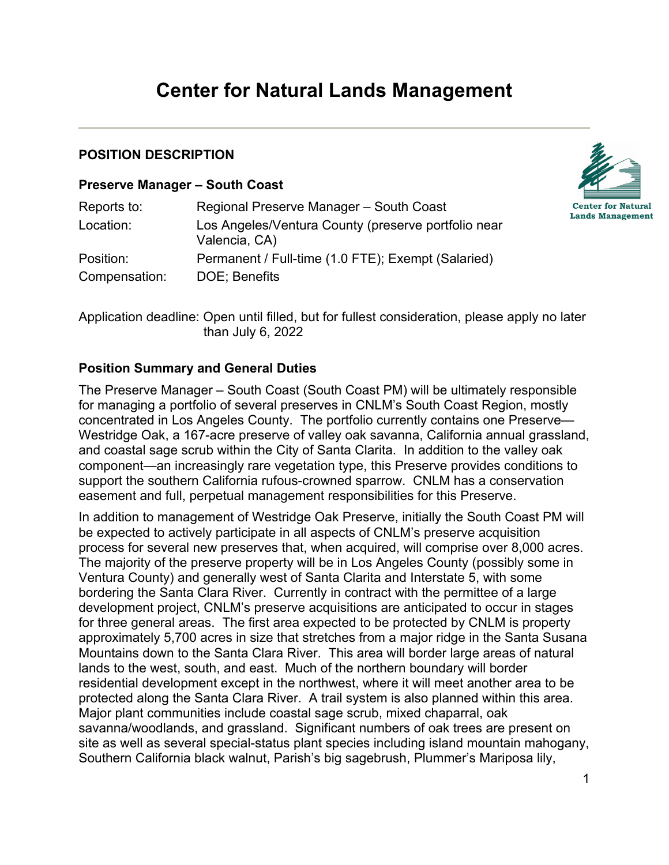# **Center for Natural Lands Management**

#### **POSITION DESCRIPTION**

#### **Preserve Manager – South Coast**

| Reports to:   | Regional Preserve Manager - South Coast                              |
|---------------|----------------------------------------------------------------------|
| Location:     | Los Angeles/Ventura County (preserve portfolio near<br>Valencia, CA) |
| Position:     | Permanent / Full-time (1.0 FTE); Exempt (Salaried)                   |
| Compensation: | DOE: Benefits                                                        |



Application deadline: Open until filled, but for fullest consideration, please apply no later than July 6, 2022

## **Position Summary and General Duties**

The Preserve Manager – South Coast (South Coast PM) will be ultimately responsible for managing a portfolio of several preserves in CNLM's South Coast Region, mostly concentrated in Los Angeles County. The portfolio currently contains one Preserve— Westridge Oak, a 167-acre preserve of valley oak savanna, California annual grassland, and coastal sage scrub within the City of Santa Clarita. In addition to the valley oak component—an increasingly rare vegetation type, this Preserve provides conditions to support the southern California rufous-crowned sparrow. CNLM has a conservation easement and full, perpetual management responsibilities for this Preserve.

In addition to management of Westridge Oak Preserve, initially the South Coast PM will be expected to actively participate in all aspects of CNLM's preserve acquisition process for several new preserves that, when acquired, will comprise over 8,000 acres. The majority of the preserve property will be in Los Angeles County (possibly some in Ventura County) and generally west of Santa Clarita and Interstate 5, with some bordering the Santa Clara River. Currently in contract with the permittee of a large development project, CNLM's preserve acquisitions are anticipated to occur in stages for three general areas. The first area expected to be protected by CNLM is property approximately 5,700 acres in size that stretches from a major ridge in the Santa Susana Mountains down to the Santa Clara River. This area will border large areas of natural lands to the west, south, and east. Much of the northern boundary will border residential development except in the northwest, where it will meet another area to be protected along the Santa Clara River. A trail system is also planned within this area. Major plant communities include coastal sage scrub, mixed chaparral, oak savanna/woodlands, and grassland. Significant numbers of oak trees are present on site as well as several special-status plant species including island mountain mahogany, Southern California black walnut, Parish's big sagebrush, Plummer's Mariposa lily,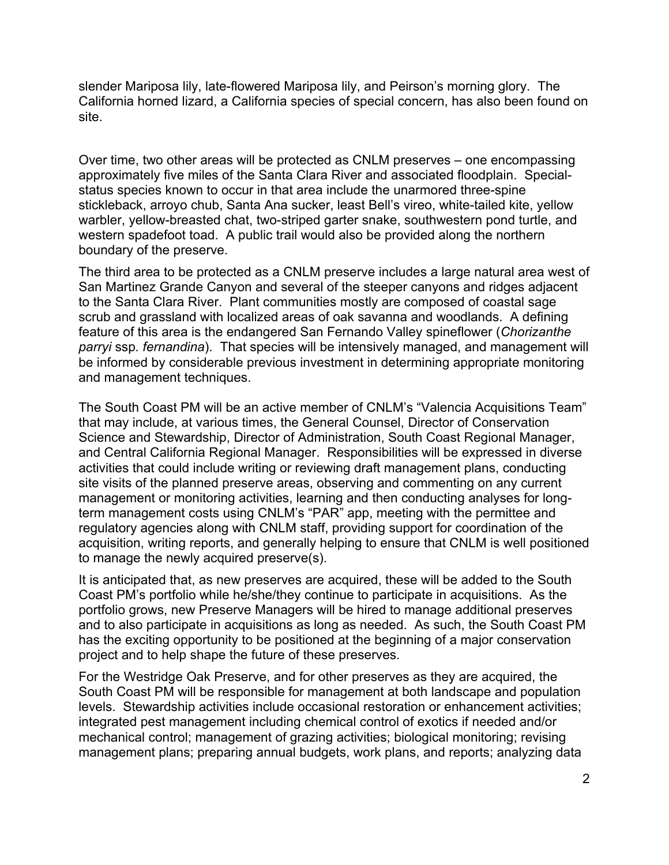slender Mariposa lily, late-flowered Mariposa lily, and Peirson's morning glory. The California horned lizard, a California species of special concern, has also been found on site.

Over time, two other areas will be protected as CNLM preserves – one encompassing approximately five miles of the Santa Clara River and associated floodplain. Specialstatus species known to occur in that area include the unarmored three-spine stickleback, arroyo chub, Santa Ana sucker, least Bell's vireo, white-tailed kite, yellow warbler, yellow-breasted chat, two-striped garter snake, southwestern pond turtle, and western spadefoot toad. A public trail would also be provided along the northern boundary of the preserve.

The third area to be protected as a CNLM preserve includes a large natural area west of San Martinez Grande Canyon and several of the steeper canyons and ridges adjacent to the Santa Clara River. Plant communities mostly are composed of coastal sage scrub and grassland with localized areas of oak savanna and woodlands. A defining feature of this area is the endangered San Fernando Valley spineflower (*Chorizanthe parryi* ssp*. fernandina*). That species will be intensively managed, and management will be informed by considerable previous investment in determining appropriate monitoring and management techniques.

The South Coast PM will be an active member of CNLM's "Valencia Acquisitions Team" that may include, at various times, the General Counsel, Director of Conservation Science and Stewardship, Director of Administration, South Coast Regional Manager, and Central California Regional Manager. Responsibilities will be expressed in diverse activities that could include writing or reviewing draft management plans, conducting site visits of the planned preserve areas, observing and commenting on any current management or monitoring activities, learning and then conducting analyses for longterm management costs using CNLM's "PAR" app, meeting with the permittee and regulatory agencies along with CNLM staff, providing support for coordination of the acquisition, writing reports, and generally helping to ensure that CNLM is well positioned to manage the newly acquired preserve(s).

It is anticipated that, as new preserves are acquired, these will be added to the South Coast PM's portfolio while he/she/they continue to participate in acquisitions. As the portfolio grows, new Preserve Managers will be hired to manage additional preserves and to also participate in acquisitions as long as needed. As such, the South Coast PM has the exciting opportunity to be positioned at the beginning of a major conservation project and to help shape the future of these preserves.

For the Westridge Oak Preserve, and for other preserves as they are acquired, the South Coast PM will be responsible for management at both landscape and population levels. Stewardship activities include occasional restoration or enhancement activities; integrated pest management including chemical control of exotics if needed and/or mechanical control; management of grazing activities; biological monitoring; revising management plans; preparing annual budgets, work plans, and reports; analyzing data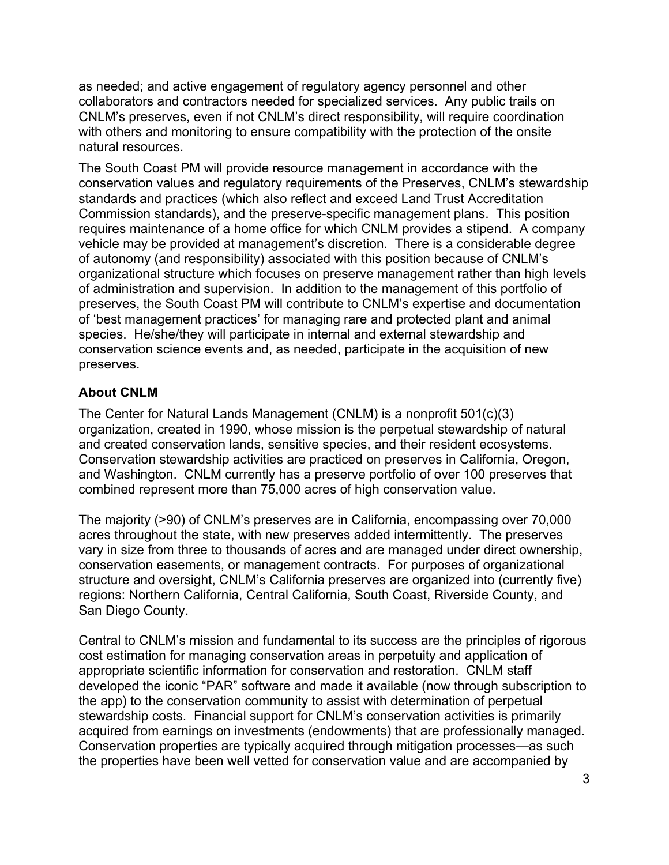as needed; and active engagement of regulatory agency personnel and other collaborators and contractors needed for specialized services. Any public trails on CNLM's preserves, even if not CNLM's direct responsibility, will require coordination with others and monitoring to ensure compatibility with the protection of the onsite natural resources.

The South Coast PM will provide resource management in accordance with the conservation values and regulatory requirements of the Preserves, CNLM's stewardship standards and practices (which also reflect and exceed Land Trust Accreditation Commission standards), and the preserve-specific management plans. This position requires maintenance of a home office for which CNLM provides a stipend. A company vehicle may be provided at management's discretion. There is a considerable degree of autonomy (and responsibility) associated with this position because of CNLM's organizational structure which focuses on preserve management rather than high levels of administration and supervision. In addition to the management of this portfolio of preserves, the South Coast PM will contribute to CNLM's expertise and documentation of 'best management practices' for managing rare and protected plant and animal species. He/she/they will participate in internal and external stewardship and conservation science events and, as needed, participate in the acquisition of new preserves.

# **About CNLM**

The Center for Natural Lands Management (CNLM) is a nonprofit 501(c)(3) organization, created in 1990, whose mission is the perpetual stewardship of natural and created conservation lands, sensitive species, and their resident ecosystems. Conservation stewardship activities are practiced on preserves in California, Oregon, and Washington. CNLM currently has a preserve portfolio of over 100 preserves that combined represent more than 75,000 acres of high conservation value.

The majority (>90) of CNLM's preserves are in California, encompassing over 70,000 acres throughout the state, with new preserves added intermittently. The preserves vary in size from three to thousands of acres and are managed under direct ownership, conservation easements, or management contracts. For purposes of organizational structure and oversight, CNLM's California preserves are organized into (currently five) regions: Northern California, Central California, South Coast, Riverside County, and San Diego County.

Central to CNLM's mission and fundamental to its success are the principles of rigorous cost estimation for managing conservation areas in perpetuity and application of appropriate scientific information for conservation and restoration. CNLM staff developed the iconic "PAR" software and made it available (now through subscription to the app) to the conservation community to assist with determination of perpetual stewardship costs. Financial support for CNLM's conservation activities is primarily acquired from earnings on investments (endowments) that are professionally managed. Conservation properties are typically acquired through mitigation processes—as such the properties have been well vetted for conservation value and are accompanied by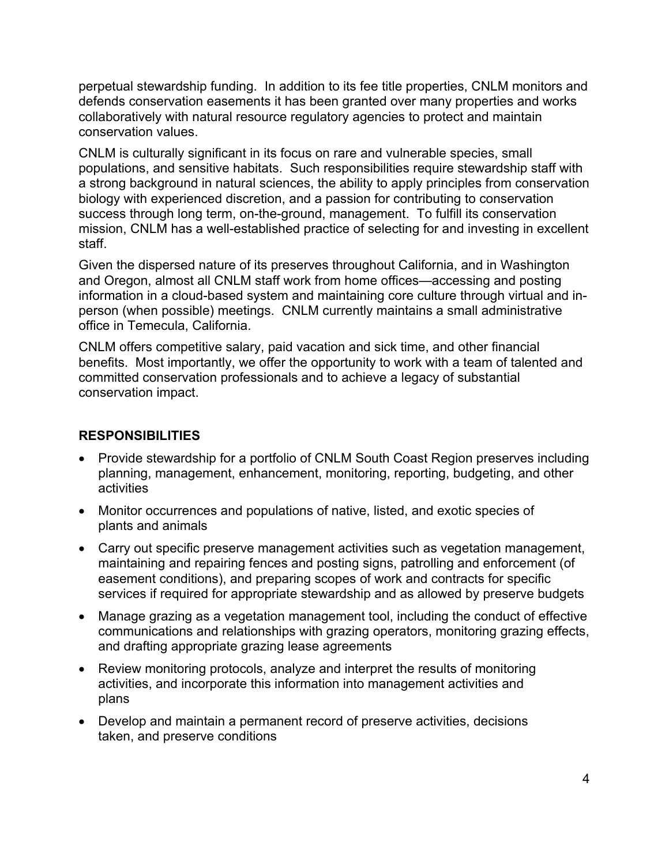perpetual stewardship funding. In addition to its fee title properties, CNLM monitors and defends conservation easements it has been granted over many properties and works collaboratively with natural resource regulatory agencies to protect and maintain conservation values.

CNLM is culturally significant in its focus on rare and vulnerable species, small populations, and sensitive habitats. Such responsibilities require stewardship staff with a strong background in natural sciences, the ability to apply principles from conservation biology with experienced discretion, and a passion for contributing to conservation success through long term, on-the-ground, management. To fulfill its conservation mission, CNLM has a well-established practice of selecting for and investing in excellent staff.

Given the dispersed nature of its preserves throughout California, and in Washington and Oregon, almost all CNLM staff work from home offices—accessing and posting information in a cloud-based system and maintaining core culture through virtual and inperson (when possible) meetings. CNLM currently maintains a small administrative office in Temecula, California.

CNLM offers competitive salary, paid vacation and sick time, and other financial benefits. Most importantly, we offer the opportunity to work with a team of talented and committed conservation professionals and to achieve a legacy of substantial conservation impact.

# **RESPONSIBILITIES**

- Provide stewardship for a portfolio of CNLM South Coast Region preserves including planning, management, enhancement, monitoring, reporting, budgeting, and other activities
- Monitor occurrences and populations of native, listed, and exotic species of plants and animals
- Carry out specific preserve management activities such as vegetation management, maintaining and repairing fences and posting signs, patrolling and enforcement (of easement conditions), and preparing scopes of work and contracts for specific services if required for appropriate stewardship and as allowed by preserve budgets
- Manage grazing as a vegetation management tool, including the conduct of effective communications and relationships with grazing operators, monitoring grazing effects, and drafting appropriate grazing lease agreements
- Review monitoring protocols, analyze and interpret the results of monitoring activities, and incorporate this information into management activities and plans
- Develop and maintain a permanent record of preserve activities, decisions taken, and preserve conditions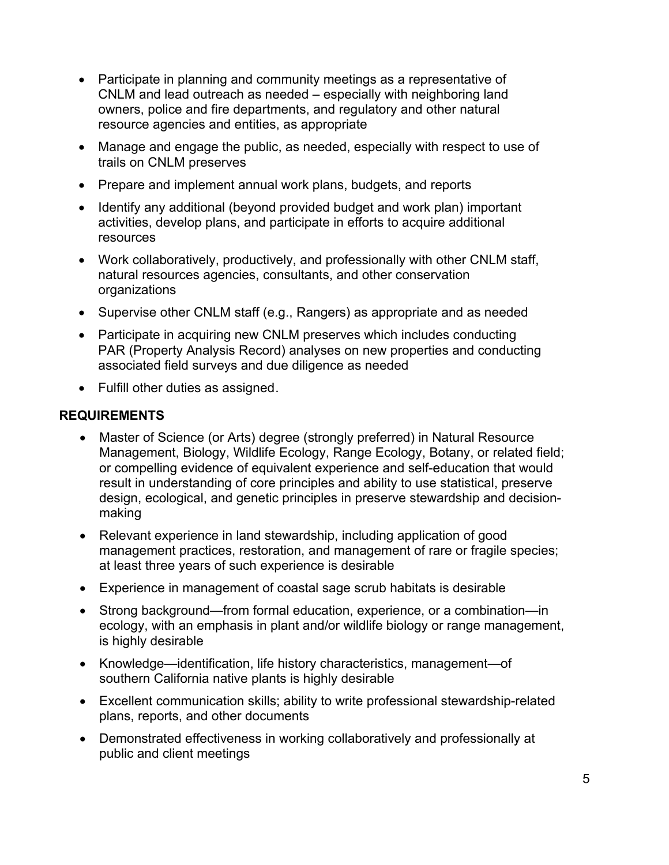- Participate in planning and community meetings as a representative of CNLM and lead outreach as needed – especially with neighboring land owners, police and fire departments, and regulatory and other natural resource agencies and entities, as appropriate
- Manage and engage the public, as needed, especially with respect to use of trails on CNLM preserves
- Prepare and implement annual work plans, budgets, and reports
- Identify any additional (beyond provided budget and work plan) important activities, develop plans, and participate in efforts to acquire additional resources
- Work collaboratively, productively, and professionally with other CNLM staff, natural resources agencies, consultants, and other conservation organizations
- Supervise other CNLM staff (e.g., Rangers) as appropriate and as needed
- Participate in acquiring new CNLM preserves which includes conducting PAR (Property Analysis Record) analyses on new properties and conducting associated field surveys and due diligence as needed
- Fulfill other duties as assigned.

### **REQUIREMENTS**

- Master of Science (or Arts) degree (strongly preferred) in Natural Resource Management, Biology, Wildlife Ecology, Range Ecology, Botany, or related field; or compelling evidence of equivalent experience and self-education that would result in understanding of core principles and ability to use statistical, preserve design, ecological, and genetic principles in preserve stewardship and decisionmaking
- Relevant experience in land stewardship, including application of good management practices, restoration, and management of rare or fragile species; at least three years of such experience is desirable
- Experience in management of coastal sage scrub habitats is desirable
- Strong background—from formal education, experience, or a combination—in ecology, with an emphasis in plant and/or wildlife biology or range management, is highly desirable
- Knowledge—identification, life history characteristics, management—of southern California native plants is highly desirable
- Excellent communication skills; ability to write professional stewardship-related plans, reports, and other documents
- Demonstrated effectiveness in working collaboratively and professionally at public and client meetings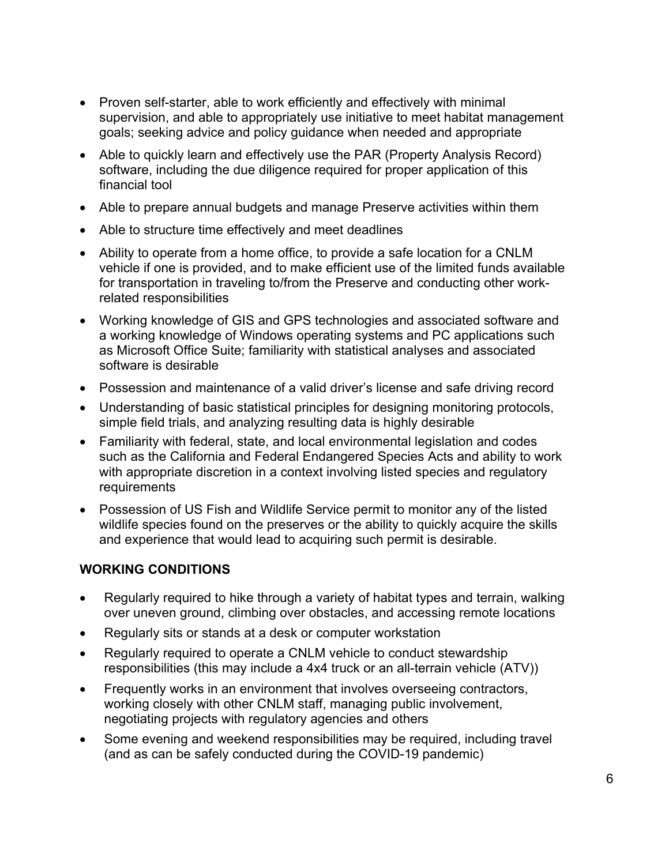- Proven self-starter, able to work efficiently and effectively with minimal supervision, and able to appropriately use initiative to meet habitat management goals; seeking advice and policy guidance when needed and appropriate
- Able to quickly learn and effectively use the PAR (Property Analysis Record) software, including the due diligence required for proper application of this financial tool
- Able to prepare annual budgets and manage Preserve activities within them
- Able to structure time effectively and meet deadlines
- Ability to operate from a home office, to provide a safe location for a CNLM vehicle if one is provided, and to make efficient use of the limited funds available for transportation in traveling to/from the Preserve and conducting other workrelated responsibilities
- Working knowledge of GIS and GPS technologies and associated software and a working knowledge of Windows operating systems and PC applications such as Microsoft Office Suite; familiarity with statistical analyses and associated software is desirable
- Possession and maintenance of a valid driver's license and safe driving record
- Understanding of basic statistical principles for designing monitoring protocols, simple field trials, and analyzing resulting data is highly desirable
- Familiarity with federal, state, and local environmental legislation and codes such as the California and Federal Endangered Species Acts and ability to work with appropriate discretion in a context involving listed species and regulatory requirements
- Possession of US Fish and Wildlife Service permit to monitor any of the listed wildlife species found on the preserves or the ability to quickly acquire the skills and experience that would lead to acquiring such permit is desirable.

#### **WORKING CONDITIONS**

- Regularly required to hike through a variety of habitat types and terrain, walking over uneven ground, climbing over obstacles, and accessing remote locations
- Regularly sits or stands at a desk or computer workstation
- Regularly required to operate a CNLM vehicle to conduct stewardship responsibilities (this may include a 4x4 truck or an all-terrain vehicle (ATV))
- Frequently works in an environment that involves overseeing contractors, working closely with other CNLM staff, managing public involvement, negotiating projects with regulatory agencies and others
- Some evening and weekend responsibilities may be required, including travel (and as can be safely conducted during the COVID-19 pandemic)